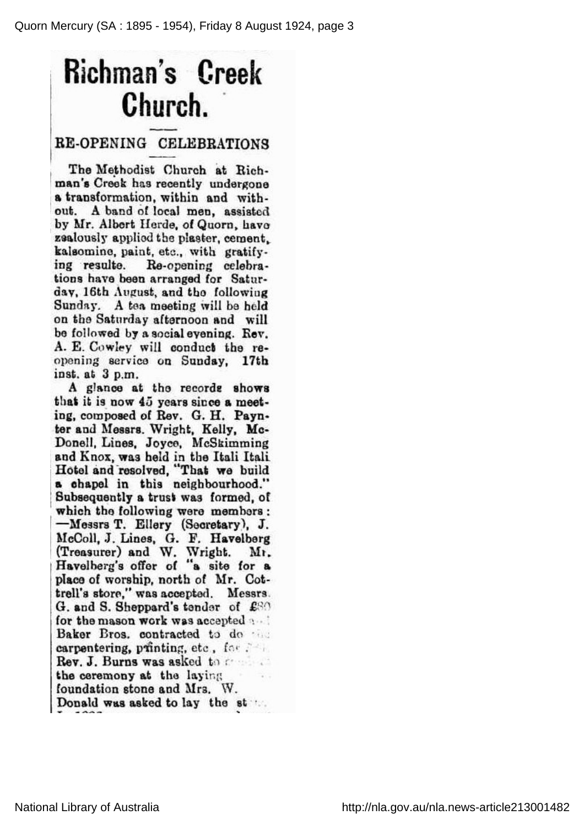## **Bichman's Creek** Church.

## EE-OPENING CELEBEATIONS

The Methodist Church at Richman's Creek has recently undergone a transformation, within and with-A band of local men, assisted by Mr. Albert Herde, of Quorn, have zealously applied the plaster, cement, kalsomine, paint, etc., with gratifying resulte. Re-opening celebrations have been arranged for Saturday, 16th August, and the following Sunday. A tea meeting will be held on the Saturday afternoon and will be followed by a social evening. Rev. A. E. Cowley will conduct the reopening service on Sunday, 17th inst. ab 3 p.m.

A glance at the records shows that it is now 45 years since a meeting, composed of Rev. G. H. Paynter and Messrs. Wright, Kelly, Mc-Donell, Lines, Joyce, McSkimming and Knox, was held in the Itali Itali Hotel and resolved, "That we build a ehapel in this neighbourhood." Subsequently a trust was formed, of which the following were members: —Messrs T. Ellery(Secretary), J. McColl, J. Lines, G. F. Havelberg (Treasurer) and W. Wright. Mr. Havelberg's offer of "a site for a place of worship, north of Mr. Cottrell's store," was accepted. Messrs. G. and S. Sheppard's tender of  $E^{80}$ for the mason work was accepted and Baker Bros, contracted to do carpentering, printing, etc., for  $\ddot{\cdot}$ . Rev. J. Burns was asked to come. the ceremony at the laying foundation stone and Mrs. W. Donald was asked to lay the st